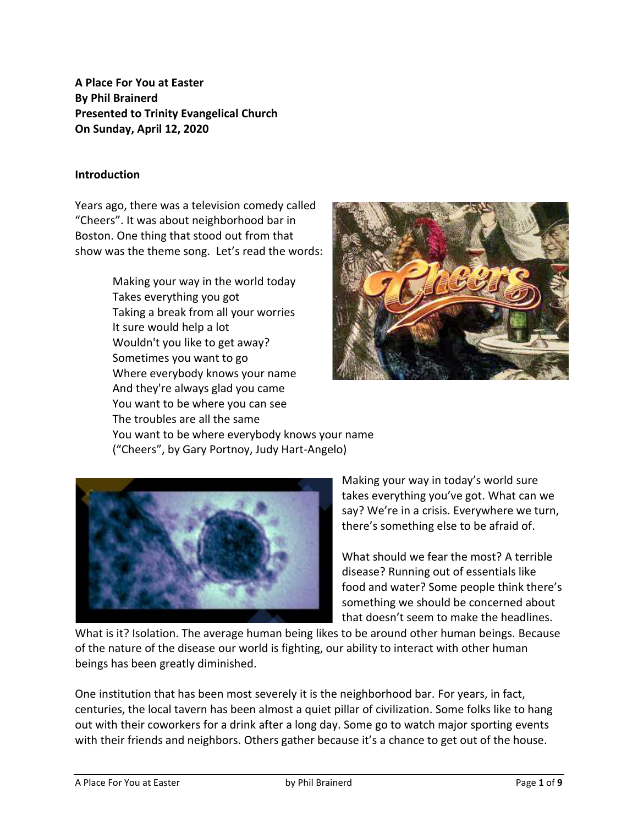**A Place For You at Easter By Phil Brainerd Presented to Trinity Evangelical Church On Sunday, April 12, 2020**

#### **Introduction**

Years ago, there was a television comedy called "Cheers". It was about neighborhood bar in Boston. One thing that stood out from that show was the theme song. Let's read the words:

> Making your way in the world today Takes everything you got Taking a break from all your worries It sure would help a lot Wouldn't you like to get away? Sometimes you want to go Where everybody knows your name And they're always glad you came You want to be where you can see The troubles are all the same You want to be where everybody knows your name ("Cheers", by Gary Portnoy, Judy Hart-Angelo)





Making your way in today's world sure takes everything you've got. What can we say? We're in a crisis. Everywhere we turn, there's something else to be afraid of.

What should we fear the most? A terrible disease? Running out of essentials like food and water? Some people think there's something we should be concerned about that doesn't seem to make the headlines.

What is it? Isolation. The average human being likes to be around other human beings. Because of the nature of the disease our world is fighting, our ability to interact with other human beings has been greatly diminished.

One institution that has been most severely it is the neighborhood bar. For years, in fact, centuries, the local tavern has been almost a quiet pillar of civilization. Some folks like to hang out with their coworkers for a drink after a long day. Some go to watch major sporting events with their friends and neighbors. Others gather because it's a chance to get out of the house.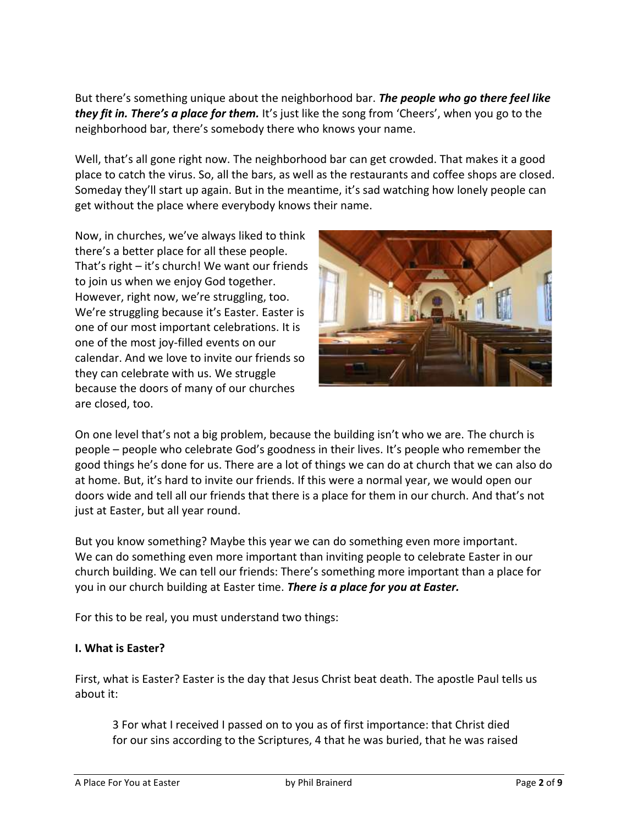But there's something unique about the neighborhood bar. *The people who go there feel like they fit in. There's a place for them.* It's just like the song from 'Cheers', when you go to the neighborhood bar, there's somebody there who knows your name.

Well, that's all gone right now. The neighborhood bar can get crowded. That makes it a good place to catch the virus. So, all the bars, as well as the restaurants and coffee shops are closed. Someday they'll start up again. But in the meantime, it's sad watching how lonely people can get without the place where everybody knows their name.

Now, in churches, we've always liked to think there's a better place for all these people. That's right – it's church! We want our friends to join us when we enjoy God together. However, right now, we're struggling, too. We're struggling because it's Easter. Easter is one of our most important celebrations. It is one of the most joy-filled events on our calendar. And we love to invite our friends so they can celebrate with us. We struggle because the doors of many of our churches are closed, too.



On one level that's not a big problem, because the building isn't who we are. The church is people – people who celebrate God's goodness in their lives. It's people who remember the good things he's done for us. There are a lot of things we can do at church that we can also do at home. But, it's hard to invite our friends. If this were a normal year, we would open our doors wide and tell all our friends that there is a place for them in our church. And that's not just at Easter, but all year round.

But you know something? Maybe this year we can do something even more important. We can do something even more important than inviting people to celebrate Easter in our church building. We can tell our friends: There's something more important than a place for you in our church building at Easter time. *There is a place for you at Easter.*

For this to be real, you must understand two things:

# **I. What is Easter?**

First, what is Easter? Easter is the day that Jesus Christ beat death. The apostle Paul tells us about it:

3 For what I received I passed on to you as of first importance: that Christ died for our sins according to the Scriptures, 4 that he was buried, that he was raised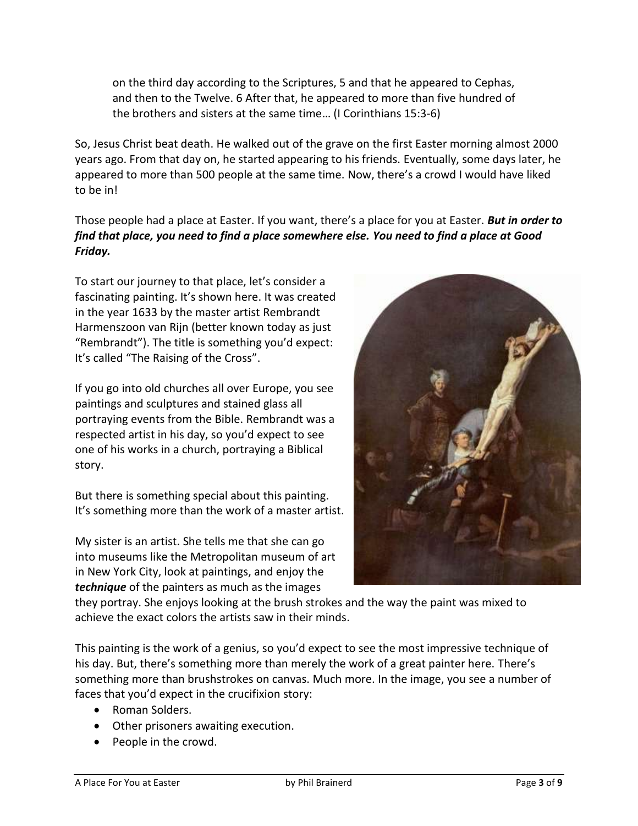on the third day according to the Scriptures, 5 and that he appeared to Cephas, and then to the Twelve. 6 After that, he appeared to more than five hundred of the brothers and sisters at the same time… (I Corinthians 15:3-6)

So, Jesus Christ beat death. He walked out of the grave on the first Easter morning almost 2000 years ago. From that day on, he started appearing to his friends. Eventually, some days later, he appeared to more than 500 people at the same time. Now, there's a crowd I would have liked to be in!

Those people had a place at Easter. If you want, there's a place for you at Easter. *But in order to find that place, you need to find a place somewhere else. You need to find a place at Good Friday.*

To start our journey to that place, let's consider a fascinating painting. It's shown here. It was created in the year 1633 by the master artist Rembrandt Harmenszoon van Rijn (better known today as just "Rembrandt"). The title is something you'd expect: It's called "The Raising of the Cross".

If you go into old churches all over Europe, you see paintings and sculptures and stained glass all portraying events from the Bible. Rembrandt was a respected artist in his day, so you'd expect to see one of his works in a church, portraying a Biblical story.

But there is something special about this painting. It's something more than the work of a master artist.

My sister is an artist. She tells me that she can go into museums like the Metropolitan museum of art in New York City, look at paintings, and enjoy the *technique* of the painters as much as the images



they portray. She enjoys looking at the brush strokes and the way the paint was mixed to achieve the exact colors the artists saw in their minds.

This painting is the work of a genius, so you'd expect to see the most impressive technique of his day. But, there's something more than merely the work of a great painter here. There's something more than brushstrokes on canvas. Much more. In the image, you see a number of faces that you'd expect in the crucifixion story:

- Roman Solders.
- Other prisoners awaiting execution.
- People in the crowd.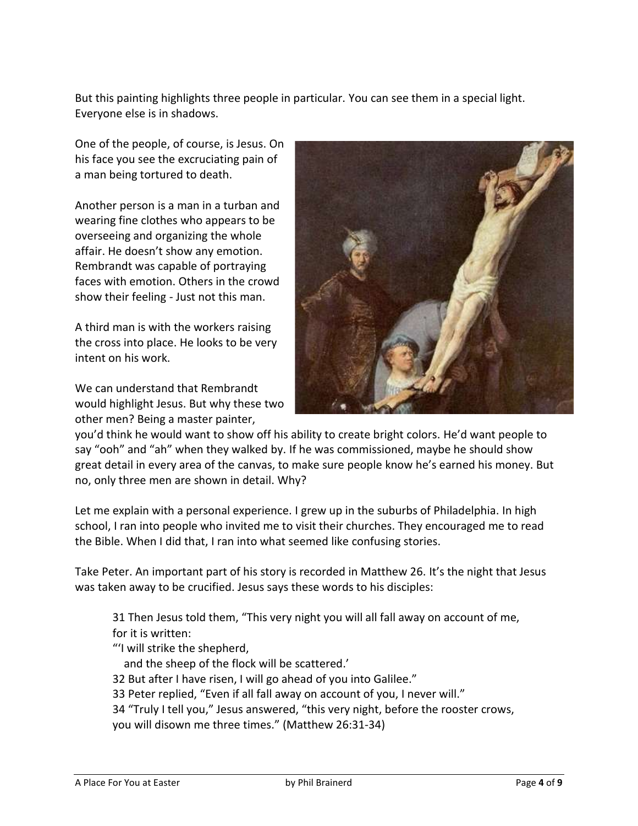But this painting highlights three people in particular. You can see them in a special light. Everyone else is in shadows.

One of the people, of course, is Jesus. On his face you see the excruciating pain of a man being tortured to death.

Another person is a man in a turban and wearing fine clothes who appears to be overseeing and organizing the whole affair. He doesn't show any emotion. Rembrandt was capable of portraying faces with emotion. Others in the crowd show their feeling - Just not this man.

A third man is with the workers raising the cross into place. He looks to be very intent on his work.

We can understand that Rembrandt would highlight Jesus. But why these two other men? Being a master painter,



you'd think he would want to show off his ability to create bright colors. He'd want people to say "ooh" and "ah" when they walked by. If he was commissioned, maybe he should show great detail in every area of the canvas, to make sure people know he's earned his money. But no, only three men are shown in detail. Why?

Let me explain with a personal experience. I grew up in the suburbs of Philadelphia. In high school, I ran into people who invited me to visit their churches. They encouraged me to read the Bible. When I did that, I ran into what seemed like confusing stories.

Take Peter. An important part of his story is recorded in Matthew 26. It's the night that Jesus was taken away to be crucified. Jesus says these words to his disciples:

31 Then Jesus told them, "This very night you will all fall away on account of me, for it is written:

"'I will strike the shepherd,

and the sheep of the flock will be scattered.'

32 But after I have risen, I will go ahead of you into Galilee."

33 Peter replied, "Even if all fall away on account of you, I never will."

34 "Truly I tell you," Jesus answered, "this very night, before the rooster crows,

you will disown me three times." (Matthew 26:31-34)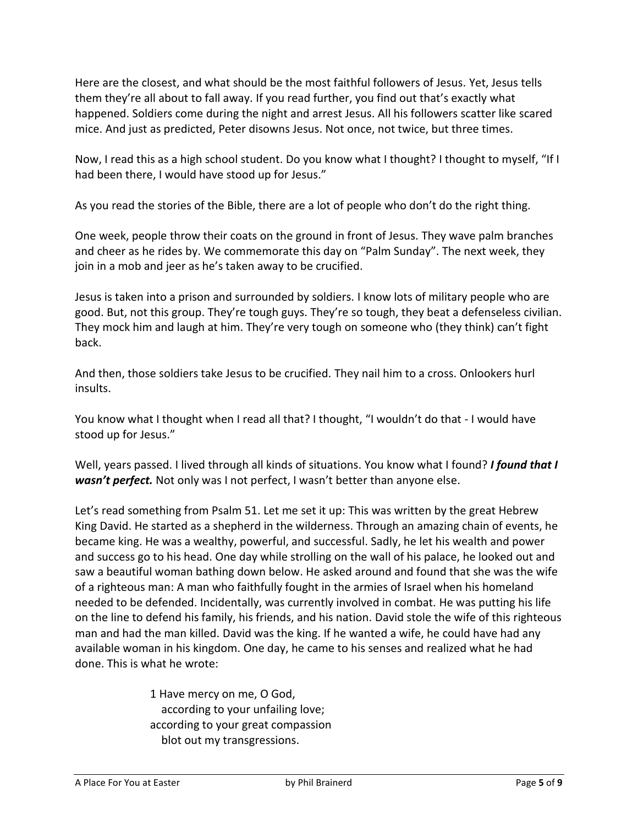Here are the closest, and what should be the most faithful followers of Jesus. Yet, Jesus tells them they're all about to fall away. If you read further, you find out that's exactly what happened. Soldiers come during the night and arrest Jesus. All his followers scatter like scared mice. And just as predicted, Peter disowns Jesus. Not once, not twice, but three times.

Now, I read this as a high school student. Do you know what I thought? I thought to myself, "If I had been there, I would have stood up for Jesus."

As you read the stories of the Bible, there are a lot of people who don't do the right thing.

One week, people throw their coats on the ground in front of Jesus. They wave palm branches and cheer as he rides by. We commemorate this day on "Palm Sunday". The next week, they join in a mob and jeer as he's taken away to be crucified.

Jesus is taken into a prison and surrounded by soldiers. I know lots of military people who are good. But, not this group. They're tough guys. They're so tough, they beat a defenseless civilian. They mock him and laugh at him. They're very tough on someone who (they think) can't fight back.

And then, those soldiers take Jesus to be crucified. They nail him to a cross. Onlookers hurl insults.

You know what I thought when I read all that? I thought, "I wouldn't do that - I would have stood up for Jesus."

Well, years passed. I lived through all kinds of situations. You know what I found? *I found that I wasn't perfect.* Not only was I not perfect, I wasn't better than anyone else.

Let's read something from Psalm 51. Let me set it up: This was written by the great Hebrew King David. He started as a shepherd in the wilderness. Through an amazing chain of events, he became king. He was a wealthy, powerful, and successful. Sadly, he let his wealth and power and success go to his head. One day while strolling on the wall of his palace, he looked out and saw a beautiful woman bathing down below. He asked around and found that she was the wife of a righteous man: A man who faithfully fought in the armies of Israel when his homeland needed to be defended. Incidentally, was currently involved in combat. He was putting his life on the line to defend his family, his friends, and his nation. David stole the wife of this righteous man and had the man killed. David was the king. If he wanted a wife, he could have had any available woman in his kingdom. One day, he came to his senses and realized what he had done. This is what he wrote:

> 1 Have mercy on me, O God, according to your unfailing love; according to your great compassion blot out my transgressions.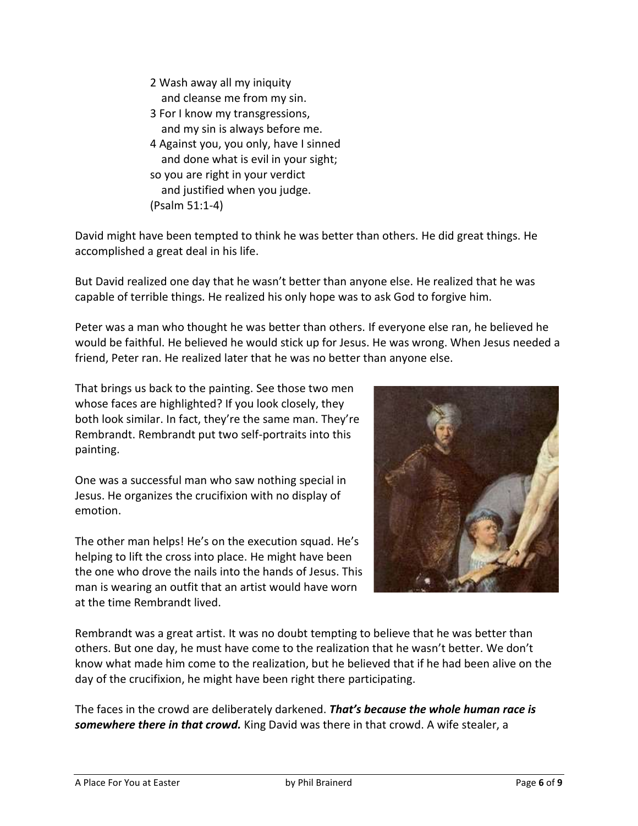- 2 Wash away all my iniquity and cleanse me from my sin.
- 3 For I know my transgressions, and my sin is always before me.
- 4 Against you, you only, have I sinned and done what is evil in your sight; so you are right in your verdict and justified when you judge. (Psalm 51:1-4)

David might have been tempted to think he was better than others. He did great things. He accomplished a great deal in his life.

But David realized one day that he wasn't better than anyone else. He realized that he was capable of terrible things. He realized his only hope was to ask God to forgive him.

Peter was a man who thought he was better than others. If everyone else ran, he believed he would be faithful. He believed he would stick up for Jesus. He was wrong. When Jesus needed a friend, Peter ran. He realized later that he was no better than anyone else.

That brings us back to the painting. See those two men whose faces are highlighted? If you look closely, they both look similar. In fact, they're the same man. They're Rembrandt. Rembrandt put two self-portraits into this painting.

One was a successful man who saw nothing special in Jesus. He organizes the crucifixion with no display of emotion.

The other man helps! He's on the execution squad. He's helping to lift the cross into place. He might have been the one who drove the nails into the hands of Jesus. This man is wearing an outfit that an artist would have worn at the time Rembrandt lived.



Rembrandt was a great artist. It was no doubt tempting to believe that he was better than others. But one day, he must have come to the realization that he wasn't better. We don't know what made him come to the realization, but he believed that if he had been alive on the day of the crucifixion, he might have been right there participating.

The faces in the crowd are deliberately darkened. *That's because the whole human race is somewhere there in that crowd.* King David was there in that crowd. A wife stealer, a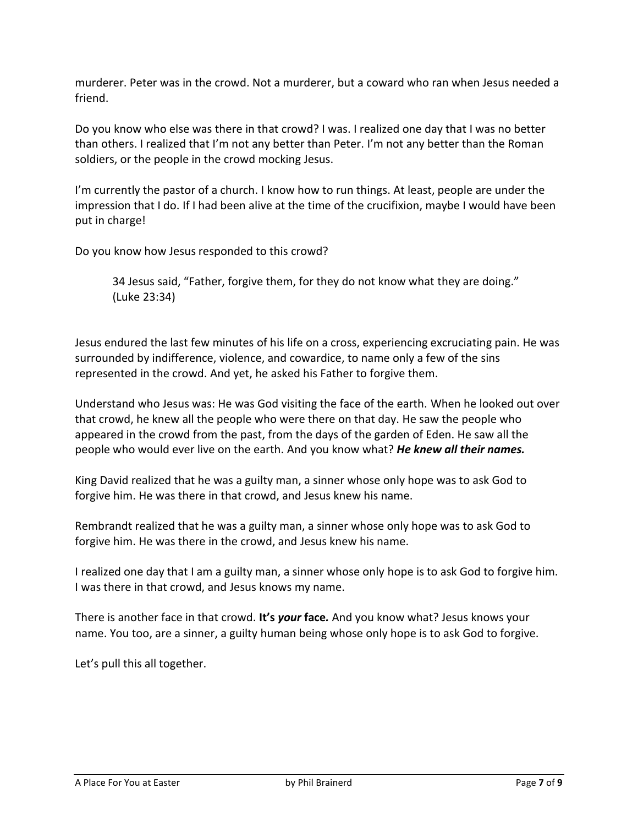murderer. Peter was in the crowd. Not a murderer, but a coward who ran when Jesus needed a friend.

Do you know who else was there in that crowd? I was. I realized one day that I was no better than others. I realized that I'm not any better than Peter. I'm not any better than the Roman soldiers, or the people in the crowd mocking Jesus.

I'm currently the pastor of a church. I know how to run things. At least, people are under the impression that I do. If I had been alive at the time of the crucifixion, maybe I would have been put in charge!

Do you know how Jesus responded to this crowd?

34 Jesus said, "Father, forgive them, for they do not know what they are doing." (Luke 23:34)

Jesus endured the last few minutes of his life on a cross, experiencing excruciating pain. He was surrounded by indifference, violence, and cowardice, to name only a few of the sins represented in the crowd. And yet, he asked his Father to forgive them.

Understand who Jesus was: He was God visiting the face of the earth. When he looked out over that crowd, he knew all the people who were there on that day. He saw the people who appeared in the crowd from the past, from the days of the garden of Eden. He saw all the people who would ever live on the earth. And you know what? *He knew all their names.*

King David realized that he was a guilty man, a sinner whose only hope was to ask God to forgive him. He was there in that crowd, and Jesus knew his name.

Rembrandt realized that he was a guilty man, a sinner whose only hope was to ask God to forgive him. He was there in the crowd, and Jesus knew his name.

I realized one day that I am a guilty man, a sinner whose only hope is to ask God to forgive him. I was there in that crowd, and Jesus knows my name.

There is another face in that crowd. **It's** *your* **face***.* And you know what? Jesus knows your name. You too, are a sinner, a guilty human being whose only hope is to ask God to forgive.

Let's pull this all together.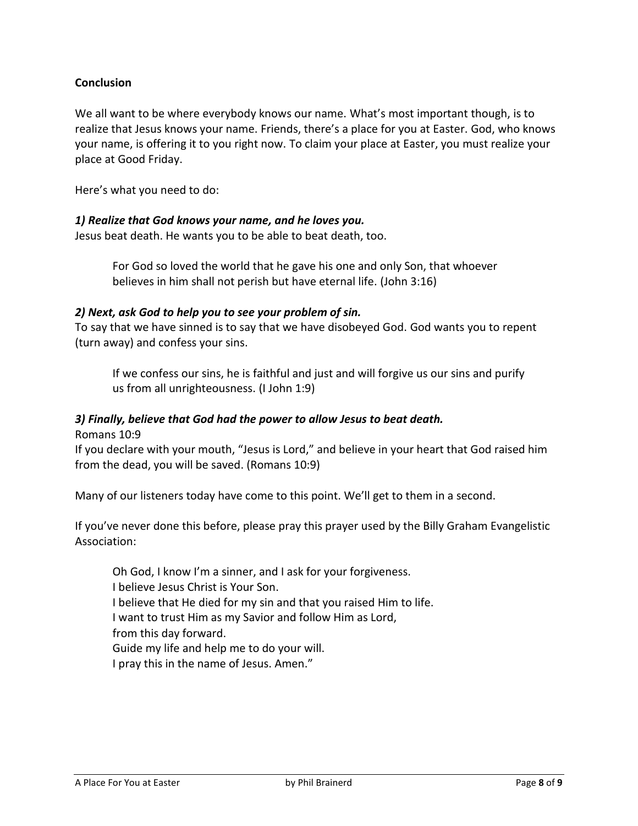### **Conclusion**

We all want to be where everybody knows our name. What's most important though, is to realize that Jesus knows your name. Friends, there's a place for you at Easter. God, who knows your name, is offering it to you right now. To claim your place at Easter, you must realize your place at Good Friday.

Here's what you need to do:

#### *1) Realize that God knows your name, and he loves you.*

Jesus beat death. He wants you to be able to beat death, too.

For God so loved the world that he gave his one and only Son, that whoever believes in him shall not perish but have eternal life. (John 3:16)

#### *2) Next, ask God to help you to see your problem of sin.*

To say that we have sinned is to say that we have disobeyed God. God wants you to repent (turn away) and confess your sins.

If we confess our sins, he is faithful and just and will forgive us our sins and purify us from all unrighteousness. (I John 1:9)

### *3) Finally, believe that God had the power to allow Jesus to beat death.*

Romans 10:9

If you declare with your mouth, "Jesus is Lord," and believe in your heart that God raised him from the dead, you will be saved. (Romans 10:9)

Many of our listeners today have come to this point. We'll get to them in a second.

If you've never done this before, please pray this prayer used by the Billy Graham Evangelistic Association:

Oh God, I know I'm a sinner, and I ask for your forgiveness. I believe Jesus Christ is Your Son. I believe that He died for my sin and that you raised Him to life. I want to trust Him as my Savior and follow Him as Lord, from this day forward. Guide my life and help me to do your will. I pray this in the name of Jesus. Amen."